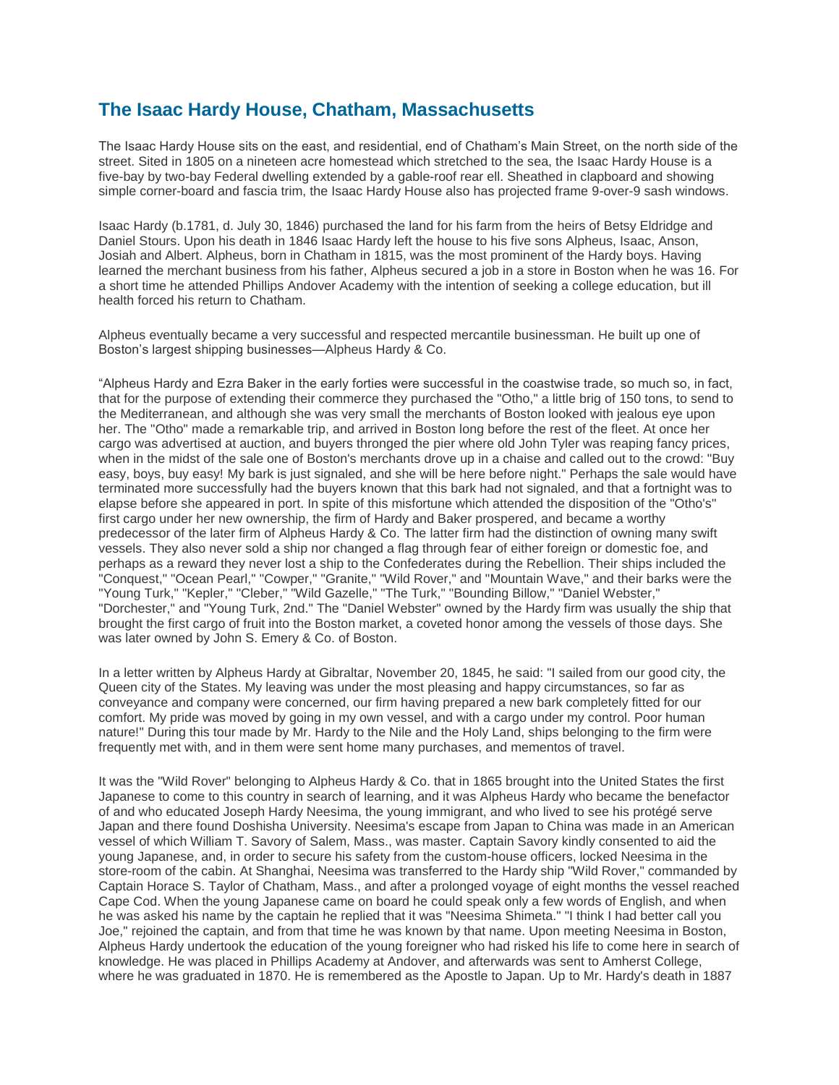## **The Isaac Hardy House, Chatham, Massachusetts**

The Isaac Hardy House sits on the east, and residential, end of Chatham's Main Street, on the north side of the street. Sited in 1805 on a nineteen acre homestead which stretched to the sea, the Isaac Hardy House is a five-bay by two-bay Federal dwelling extended by a gable-roof rear ell. Sheathed in clapboard and showing simple corner-board and fascia trim, the Isaac Hardy House also has projected frame 9-over-9 sash windows.

Isaac Hardy (b.1781, d. July 30, 1846) purchased the land for his farm from the heirs of Betsy Eldridge and Daniel Stours. Upon his death in 1846 Isaac Hardy left the house to his five sons Alpheus, Isaac, Anson, Josiah and Albert. Alpheus, born in Chatham in 1815, was the most prominent of the Hardy boys. Having learned the merchant business from his father, Alpheus secured a job in a store in Boston when he was 16. For a short time he attended Phillips Andover Academy with the intention of seeking a college education, but ill health forced his return to Chatham.

Alpheus eventually became a very successful and respected mercantile businessman. He built up one of Boston's largest shipping businesses—Alpheus Hardy & Co.

"Alpheus Hardy and Ezra Baker in the early forties were successful in the coastwise trade, so much so, in fact, that for the purpose of extending their commerce they purchased the "Otho," a little brig of 150 tons, to send to the Mediterranean, and although she was very small the merchants of Boston looked with jealous eye upon her. The "Otho" made a remarkable trip, and arrived in Boston long before the rest of the fleet. At once her cargo was advertised at auction, and buyers thronged the pier where old John Tyler was reaping fancy prices, when in the midst of the sale one of Boston's merchants drove up in a chaise and called out to the crowd: "Buy easy, boys, buy easy! My bark is just signaled, and she will be here before night." Perhaps the sale would have terminated more successfully had the buyers known that this bark had not signaled, and that a fortnight was to elapse before she appeared in port. In spite of this misfortune which attended the disposition of the "Otho's" first cargo under her new ownership, the firm of Hardy and Baker prospered, and became a worthy predecessor of the later firm of Alpheus Hardy & Co. The latter firm had the distinction of owning many swift vessels. They also never sold a ship nor changed a flag through fear of either foreign or domestic foe, and perhaps as a reward they never lost a ship to the Confederates during the Rebellion. Their ships included the "Conquest," "Ocean Pearl," "Cowper," "Granite," "Wild Rover," and "Mountain Wave," and their barks were the "Young Turk," "Kepler," "Cleber," "Wild Gazelle," "The Turk," "Bounding Billow," "Daniel Webster," "Dorchester," and "Young Turk, 2nd." The "Daniel Webster" owned by the Hardy firm was usually the ship that brought the first cargo of fruit into the Boston market, a coveted honor among the vessels of those days. She was later owned by John S. Emery & Co. of Boston.

In a letter written by Alpheus Hardy at Gibraltar, November 20, 1845, he said: "I sailed from our good city, the Queen city of the States. My leaving was under the most pleasing and happy circumstances, so far as conveyance and company were concerned, our firm having prepared a new bark completely fitted for our comfort. My pride was moved by going in my own vessel, and with a cargo under my control. Poor human nature!" During this tour made by Mr. Hardy to the Nile and the Holy Land, ships belonging to the firm were frequently met with, and in them were sent home many purchases, and mementos of travel.

It was the "Wild Rover" belonging to Alpheus Hardy & Co. that in 1865 brought into the United States the first Japanese to come to this country in search of learning, and it was Alpheus Hardy who became the benefactor of and who educated Joseph Hardy Neesima, the young immigrant, and who lived to see his protégé serve Japan and there found Doshisha University. Neesima's escape from Japan to China was made in an American vessel of which William T. Savory of Salem, Mass., was master. Captain Savory kindly consented to aid the young Japanese, and, in order to secure his safety from the custom-house officers, locked Neesima in the store-room of the cabin. At Shanghai, Neesima was transferred to the Hardy ship "Wild Rover," commanded by Captain Horace S. Taylor of Chatham, Mass., and after a prolonged voyage of eight months the vessel reached Cape Cod. When the young Japanese came on board he could speak only a few words of English, and when he was asked his name by the captain he replied that it was "Neesima Shimeta." "I think I had better call you Joe," rejoined the captain, and from that time he was known by that name. Upon meeting Neesima in Boston, Alpheus Hardy undertook the education of the young foreigner who had risked his life to come here in search of knowledge. He was placed in Phillips Academy at Andover, and afterwards was sent to Amherst College, where he was graduated in 1870. He is remembered as the Apostle to Japan. Up to Mr. Hardy's death in 1887